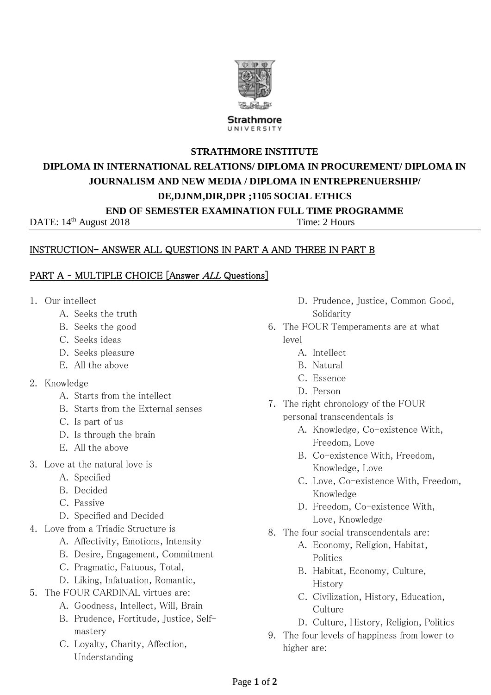

# **STRATHMORE INSTITUTE DIPLOMA IN INTERNATIONAL RELATIONS/ DIPLOMA IN PROCUREMENT/ DIPLOMA IN JOURNALISM AND NEW MEDIA / DIPLOMA IN ENTREPRENUERSHIP/ DE,DJNM,DIR,DPR ;1105 SOCIAL ETHICS END OF SEMESTER EXAMINATION FULL TIME PROGRAMME**

DATE:  $14<sup>th</sup>$  August 2018 Time: 2 Hours

#### INSTRUCTION- ANSWER ALL QUESTIONS IN PART A AND THREE IN PART B

#### PART A – MULTIPLE CHOICE [Answer ALL Questions]

- 1. Our intellect
	- A. Seeks the truth
	- B. Seeks the good
	- C. Seeks ideas
	- D. Seeks pleasure
	- E. All the above
- 2. Knowledge
	- A. Starts from the intellect
	- B. Starts from the External senses
	- C. Is part of us
	- D. Is through the brain
	- E. All the above
- 3. Love at the natural love is
	- A. Specified
	- B. Decided
	- C. Passive
	- D. Specified and Decided
- 4. Love from a Triadic Structure is
	- A. Affectivity, Emotions, Intensity
	- B. Desire, Engagement, Commitment
	- C. Pragmatic, Fatuous, Total,
	- D. Liking, Infatuation, Romantic,
- 5. The FOUR CARDINAL virtues are:
	- A. Goodness, Intellect, Will, Brain
	- B. Prudence, Fortitude, Justice, Selfmastery
	- C. Loyalty, Charity, Affection, Understanding
- D. Prudence, Justice, Common Good, Solidarity
- 6. The FOUR Temperaments are at what level
	- A. Intellect
	- B. Natural
	- C. Essence
	- D. Person
- 7. The right chronology of the FOUR personal transcendentals is
	- A. Knowledge, Co-existence With, Freedom, Love
	- B. Co-existence With, Freedom, Knowledge, Love
	- C. Love, Co-existence With, Freedom, Knowledge
	- D. Freedom, Co-existence With, Love, Knowledge
- 8. The four social transcendentals are:
	- A. Economy, Religion, Habitat, Politics
	- B. Habitat, Economy, Culture, History
	- C. Civilization, History, Education, Culture
	- D. Culture, History, Religion, Politics
- 9. The four levels of happiness from lower to higher are: